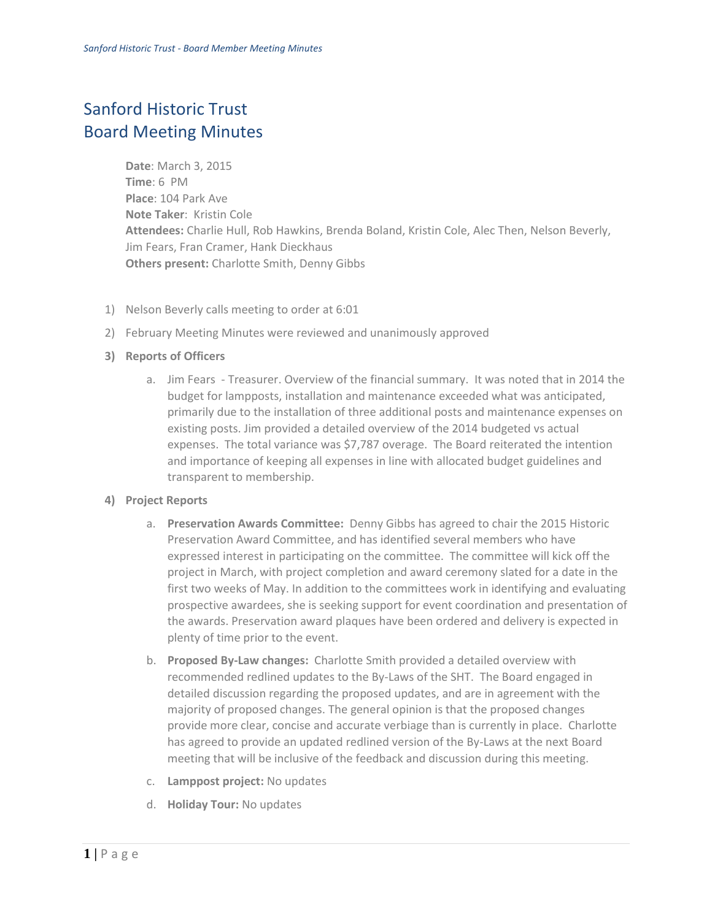## Sanford Historic Trust Board Meeting Minutes

**Date**: March 3, 2015 **Time**: 6 PM **Place**: 104 Park Ave **Note Taker**: Kristin Cole **Attendees:** Charlie Hull, Rob Hawkins, Brenda Boland, Kristin Cole, Alec Then, Nelson Beverly, Jim Fears, Fran Cramer, Hank Dieckhaus **Others present:** Charlotte Smith, Denny Gibbs

- 1) Nelson Beverly calls meeting to order at 6:01
- 2) February Meeting Minutes were reviewed and unanimously approved
- **3) Reports of Officers**
	- a. Jim Fears Treasurer. Overview of the financial summary. It was noted that in 2014 the budget for lampposts, installation and maintenance exceeded what was anticipated, primarily due to the installation of three additional posts and maintenance expenses on existing posts. Jim provided a detailed overview of the 2014 budgeted vs actual expenses. The total variance was \$7,787 overage. The Board reiterated the intention and importance of keeping all expenses in line with allocated budget guidelines and transparent to membership.

## **4) Project Reports**

- a. **Preservation Awards Committee:** Denny Gibbs has agreed to chair the 2015 Historic Preservation Award Committee, and has identified several members who have expressed interest in participating on the committee. The committee will kick off the project in March, with project completion and award ceremony slated for a date in the first two weeks of May. In addition to the committees work in identifying and evaluating prospective awardees, she is seeking support for event coordination and presentation of the awards. Preservation award plaques have been ordered and delivery is expected in plenty of time prior to the event.
- b. **Proposed By-Law changes:** Charlotte Smith provided a detailed overview with recommended redlined updates to the By-Laws of the SHT. The Board engaged in detailed discussion regarding the proposed updates, and are in agreement with the majority of proposed changes. The general opinion is that the proposed changes provide more clear, concise and accurate verbiage than is currently in place. Charlotte has agreed to provide an updated redlined version of the By-Laws at the next Board meeting that will be inclusive of the feedback and discussion during this meeting.
- c. **Lamppost project:** No updates
- d. **Holiday Tour:** No updates